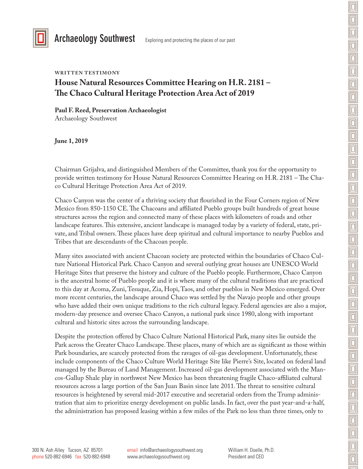

Archaeology Southwest Exploring and protecting the places of our past

#### **WRITTEN TESTIMONY**

# **House Natural Resources Committee Hearing on H.R. 2181 – The Chaco Cultural Heritage Protection Area Act of 2019**

**Paul F. Reed, Preservation Archaeologist** Archaeology Southwest

**June 1, 2019**

Chairman Grijalva, and distinguished Members of the Committee, thank you for the opportunity to provide written testimony for House Natural Resources Committee Hearing on H.R. 2181 – The Chaco Cultural Heritage Protection Area Act of 2019.

Chaco Canyon was the center of a thriving society that flourished in the Four Corners region of New Mexico from 850-1150 CE. The Chacoans and affiliated Pueblo groups built hundreds of great house structures across the region and connected many of these places with kilometers of roads and other landscape features. This extensive, ancient landscape is managed today by a variety of federal, state, private, and Tribal owners. These places have deep spiritual and cultural importance to nearby Pueblos and Tribes that are descendants of the Chacoan people.

Many sites associated with ancient Chacoan society are protected within the boundaries of Chaco Culture National Historical Park. Chaco Canyon and several outlying great houses are UNESCO World Heritage Sites that preserve the history and culture of the Pueblo people. Furthermore, Chaco Canyon is the ancestral home of Pueblo people and it is where many of the cultural traditions that are practiced to this day at Acoma, Zuni, Tesuque, Zia, Hopi, Taos, and other pueblos in New Mexico emerged. Over more recent centuries, the landscape around Chaco was settled by the Navajo people and other groups who have added their own unique traditions to the rich cultural legacy. Federal agencies are also a major, modern-day presence and oversee Chaco Canyon, a national park since 1980, along with important cultural and historic sites across the surrounding landscape.

Despite the protection offered by Chaco Culture National Historical Park, many sites lie outside the Park across the Greater Chaco Landscape. These places, many of which are as significant as those within Park boundaries, are scarcely protected from the ravages of oil-gas development. Unfortunately, these include components of the Chaco Culture World Heritage Site like Pierre's Site, located on federal land managed by the Bureau of Land Management. Increased oil-gas development associated with the Mancos-Gallup Shale play in northwest New Mexico has been threatening fragile Chaco-affiliated cultural resources across a large portion of the San Juan Basin since late 2011. The threat to sensitive cultural resources is heightened by several mid-2017 executive and secretarial orders from the Trump administration that aim to prioritize energy development on public lands. In fact, over the past year-and-a-half, the administration has proposed leasing within a few miles of the Park no less than three times, only to

William H. Doelle, Ph.D. President and CEO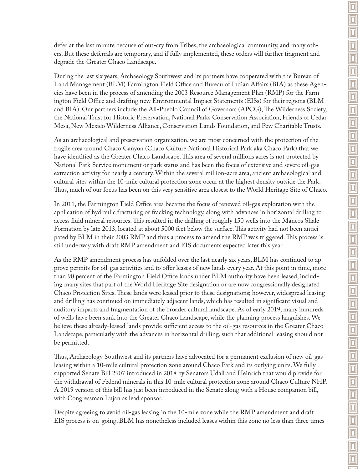defer at the last minute because of out-cry from Tribes, the archaeological community, and many others. But these deferrals are temporary, and if fully implemented, these orders will further fragment and degrade the Greater Chaco Landscape.

During the last six years, Archaeology Southwest and its partners have cooperated with the Bureau of Land Management (BLM) Farmington Field Office and Bureau of Indian Affairs (BIA) as these Agencies have been in the process of amending the 2003 Resource Management Plan (RMP) for the Farmington Field Office and drafting new Environmental Impact Statements (EISs) for their regions (BLM and BIA). Our partners include the All-Pueblo Council of Governors (APCG), The Wilderness Society, the National Trust for Historic Preservation, National Parks Conservation Association, Friends of Cedar Mesa, New Mexico Wilderness Alliance, Conservation Lands Foundation, and Pew Charitable Trusts.

As an archaeological and preservation organization, we are most concerned with the protection of the fragile area around Chaco Canyon (Chaco Culture National Historical Park aka Chaco Park) that we have identified as the Greater Chaco Landscape. This area of several millions acres is not protected by National Park Service monument or park status and has been the focus of extensive and severe oil-gas extraction activity for nearly a century. Within the several million-acre area, ancient archaeological and cultural sites within the 10-mile cultural protection zone occur at the highest density outside the Park. Thus, much of our focus has been on this very sensitive area closest to the World Heritage Site of Chaco.

In 2011, the Farmington Field Office area became the focus of renewed oil-gas exploration with the application of hydraulic fracturing or fracking technology, along with advances in horizontal drilling to access fluid mineral resources. This resulted in the drilling of roughly 150 wells into the Mancos Shale Formation by late 2013, located at about 5000 feet below the surface. This activity had not been anticipated by BLM in their 2003 RMP and thus a process to amend the RMP was triggered. This process is still underway with draft RMP amendment and EIS documents expected later this year.

As the RMP amendment process has unfolded over the last nearly six years, BLM has continued to approve permits for oil-gas activities and to offer leases of new lands every year. At this point in time, more than 90 percent of the Farmington Field Office lands under BLM authority have been leased, including many sites that part of the World Heritage Site designation or are now congressionally designated Chaco Protection Sites. These lands were leased prior to these designations; however, widespread leasing and drilling has continued on immediately adjacent lands, which has resulted in significant visual and auditory impacts and fragmentation of the broader cultural landscape. As of early 2019, many hundreds of wells have been sunk into the Greater Chaco Landscape, while the planning process languishes. We believe these already-leased lands provide sufficient access to the oil-gas resources in the Greater Chaco Landscape, particularly with the advances in horizontal drilling, such that additional leasing should not be permitted.

Thus, Archaeology Southwest and its partners have advocated for a permanent exclusion of new oil-gas leasing within a 10-mile cultural protection zone around Chaco Park and its outlying units. We fully supported Senate Bill 2907 introduced in 2018 by Senators Udall and Heinrich that would provide for the withdrawal of Federal minerals in this 10-mile cultural protection zone around Chaco Culture NHP. A 2019 version of this bill has just been introduced in the Senate along with a House companion bill, with Congressman Lujan as lead sponsor.

Despite agreeing to avoid oil-gas leasing in the 10-mile zone while the RMP amendment and draft EIS process is on-going, BLM has nonetheless included leases within this zone no less than three times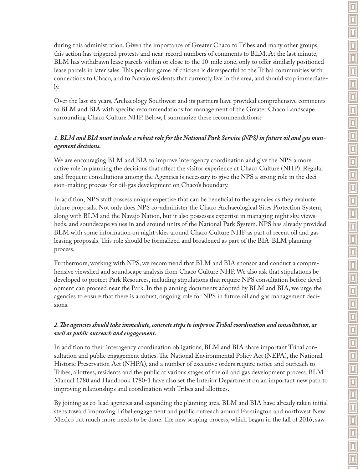during this administration. Given the importance of Greater Chaco to Tribes and many other groups, this action has triggered protests and near-record numbers of comments to BLM. At the last minute, BLM has withdrawn lease parcels within or close to the 10-mile zone, only to offer similarly positioned lease parcels in later sales. This peculiar game of chicken is disrespectful to the Tribal communities with connections to Chaco, and to Navajo residents that currently live in the area, and should stop immediately.

Over the last six years, Archaeology Southwest and its partners have provided comprehensive comments to BLM and BIA with specific recommendations for management of the Greater Chaco Landscape surrounding Chaco Culture NHP. Below, I summarize these recommendations:

## *1. BLM and BIA must include a robust role for the National Park Service (NPS) in future oil and gas management decisions.*

We are encouraging BLM and BIA to improve interagency coordination and give the NPS a more active role in planning the decisions that affect the visitor experience at Chaco Culture (NHP). Regular and frequent consultations among the Agencies is necessary to give the NPS a strong role in the decision-making process for oil-gas development on Chaco's boundary.

In addition, NPS staff possess unique expertise that can be beneficial to the agencies as they evaluate future proposals. Not only does NPS co-administer the Chaco Archaeological Sites Protection System, along with BLM and the Navajo Nation, but it also possesses expertise in managing night sky, viewsheds, and soundscape values in and around units of the National Park System. NPS has already provided BLM with some information on night skies around Chaco Culture NHP as part of recent oil and gas leasing proposals. This role should be formalized and broadened as part of the BIA-BLM planning process.

Furthermore, working with NPS, we recommend that BLM and BIA sponsor and conduct a comprehensive viewshed and soundscape analysis from Chaco Culture NHP. We also ask that stipulations be developed to protect Park Resources, including stipulations that require NPS consultation before development can proceed near the Park. In the planning documents adopted by BLM and BIA, we urge the agencies to ensure that there is a robust, ongoing role for NPS in future oil and gas management decisions.

### *2. The agencies should take immediate, concrete steps to improve Tribal coordination and consultation, as well as public outreach and engagement.*

In addition to their interagency coordination obligations, BLM and BIA share important Tribal consultation and public engagement duties. The National Environmental Policy Act (NEPA), the National Historic Preservation Act (NHPA), and a number of executive orders require notice and outreach to Tribes, allottees, residents and the public at various stages of the oil and gas development process. BLM Manual 1780 and Handbook 1780-1 have also set the Interior Department on an important new path to improving relationships and coordination with Tribes and allottees.

By joining as co-lead agencies and expanding the planning area, BLM and BIA have already taken initial steps toward improving Tribal engagement and public outreach around Farmington and northwest New Mexico but much more needs to be done. The new scoping process, which began in the fall of 2016, saw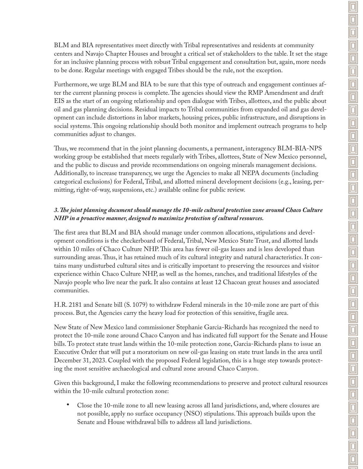BLM and BIA representatives meet directly with Tribal representatives and residents at community centers and Navajo Chapter Houses and brought a critical set of stakeholders to the table. It set the stage for an inclusive planning process with robust Tribal engagement and consultation but, again, more needs to be done. Regular meetings with engaged Tribes should be the rule, not the exception.

Furthermore, we urge BLM and BIA to be sure that this type of outreach and engagement continues after the current planning process is complete. The agencies should view the RMP Amendment and draft EIS as the start of an ongoing relationship and open dialogue with Tribes, allottees, and the public about oil and gas planning decisions. Residual impacts to Tribal communities from expanded oil and gas development can include distortions in labor markets, housing prices, public infrastructure, and disruptions in social systems. This ongoing relationship should both monitor and implement outreach programs to help communities adjust to changes.

Thus, we recommend that in the joint planning documents, a permanent, interagency BLM-BIA-NPS working group be established that meets regularly with Tribes, allottees, State of New Mexico personnel, and the public to discuss and provide recommendations on ongoing minerals management decisions. Additionally, to increase transparency, we urge the Agencies to make all NEPA documents (including categorical exclusions) for Federal, Tribal, and allotted mineral development decisions (e.g., leasing, permitting, right-of-way, suspensions, etc.) available online for public review.

## *3. The joint planning document should manage the 10-mile cultural protection zone around Chaco Culture NHP in a proactive manner, designed to maximize protection of cultural resources.*

The first area that BLM and BIA should manage under common allocations, stipulations and development conditions is the checkerboard of Federal, Tribal, New Mexico State Trust, and allotted lands within 10 miles of Chaco Culture NHP. This area has fewer oil-gas leases and is less developed than surrounding areas. Thus, it has retained much of its cultural integrity and natural characteristics. It contains many undisturbed cultural sites and is critically important to preserving the resources and visitor experience within Chaco Culture NHP, as well as the homes, ranches, and traditional lifestyles of the Navajo people who live near the park. It also contains at least 12 Chacoan great houses and associated communities.

H.R. 2181 and Senate bill (S. 1079) to withdraw Federal minerals in the 10-mile zone are part of this process. But, the Agencies carry the heavy load for protection of this sensitive, fragile area.

New State of New Mexico land commissioner Stephanie Garcia-Richards has recognized the need to protect the 10-mile zone around Chaco Canyon and has indicated full support for the Senate and House bills. To protect state trust lands within the 10-mile protection zone, Garcia-Richards plans to issue an Executive Order that will put a moratorium on new oil-gas leasing on state trust lands in the area until December 31, 2023. Coupled with the proposed Federal legislation, this is a huge step towards protecting the most sensitive archaeological and cultural zone around Chaco Canyon.

Given this background, I make the following recommendations to preserve and protect cultural resources within the 10-mile cultural protection zone:

• Close the 10-mile zone to all new leasing across all land jurisdictions, and, where closures are not possible, apply no surface occupancy (NSO) stipulations. This approach builds upon the Senate and House withdrawal bills to address all land jurisdictions.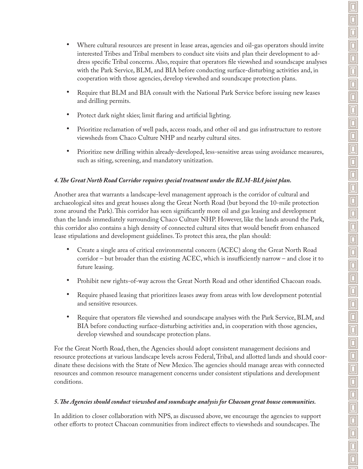- Where cultural resources are present in lease areas, agencies and oil-gas operators should invite interested Tribes and Tribal members to conduct site visits and plan their development to address specific Tribal concerns. Also, require that operators file viewshed and soundscape analyses with the Park Service, BLM, and BIA before conducting surface-disturbing activities and, in cooperation with those agencies, develop viewshed and soundscape protection plans.
- Require that BLM and BIA consult with the National Park Service before issuing new leases and drilling permits.
- Protect dark night skies; limit flaring and artificial lighting.
- Prioritize reclamation of well pads, access roads, and other oil and gas infrastructure to restore viewsheds from Chaco Culture NHP and nearby cultural sites.
- Prioritize new drilling within already-developed, less-sensitive areas using avoidance measures, such as siting, screening, and mandatory unitization.

#### *4. The Great North Road Corridor requires special treatment under the BLM-BIA joint plan.*

Another area that warrants a landscape-level management approach is the corridor of cultural and archaeological sites and great houses along the Great North Road (but beyond the 10-mile protection zone around the Park). This corridor has seen significantly more oil and gas leasing and development than the lands immediately surrounding Chaco Culture NHP. However, like the lands around the Park, this corridor also contains a high density of connected cultural sites that would benefit from enhanced lease stipulations and development guidelines. To protect this area, the plan should:

- Create a single area of critical environmental concern (ACEC) along the Great North Road corridor – but broader than the existing ACEC, which is insufficiently narrow – and close it to future leasing.
- Prohibit new rights-of-way across the Great North Road and other identified Chacoan roads.
- Require phased leasing that prioritizes leases away from areas with low development potential and sensitive resources.
- Require that operators file viewshed and soundscape analyses with the Park Service, BLM, and BIA before conducting surface-disturbing activities and, in cooperation with those agencies, develop viewshed and soundscape protection plans.

For the Great North Road, then, the Agencies should adopt consistent management decisions and resource protections at various landscape levels across Federal, Tribal, and allotted lands and should coordinate these decisions with the State of New Mexico. The agencies should manage areas with connected resources and common resource management concerns under consistent stipulations and development conditions.

#### *5. The Agencies should conduct viewshed and soundscape analysis for Chacoan great house communities.*

In addition to closer collaboration with NPS, as discussed above, we encourage the agencies to support other efforts to protect Chacoan communities from indirect effects to viewsheds and soundscapes. The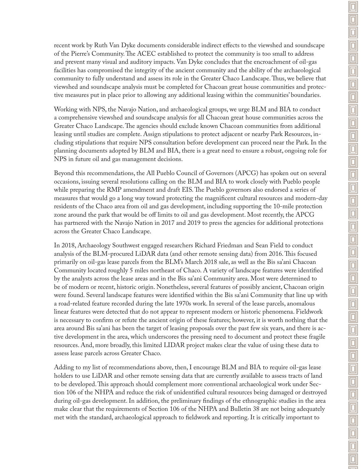recent work by Ruth Van Dyke documents considerable indirect effects to the viewshed and soundscape of the Pierre's Community. The ACEC established to protect the community is too small to address and prevent many visual and auditory impacts. Van Dyke concludes that the encroachment of oil-gas facilities has compromised the integrity of the ancient community and the ability of the archaeological community to fully understand and assess its role in the Greater Chaco Landscape. Thus, we believe that viewshed and soundscape analysis must be completed for Chacoan great house communities and protective measures put in place prior to allowing any additional leasing within the communities' boundaries.

Working with NPS, the Navajo Nation, and archaeological groups, we urge BLM and BIA to conduct a comprehensive viewshed and soundscape analysis for all Chacoan great house communities across the Greater Chaco Landscape. The agencies should exclude known Chacoan communities from additional leasing until studies are complete. Assign stipulations to protect adjacent or nearby Park Resources, including stipulations that require NPS consultation before development can proceed near the Park. In the planning documents adopted by BLM and BIA, there is a great need to ensure a robust, ongoing role for NPS in future oil and gas management decisions.

Beyond this recommendations, the All Pueblo Council of Governors (APCG) has spoken out on several occasions, issuing several resolutions calling on the BLM and BIA to work closely with Pueblo people while preparing the RMP amendment and draft EIS. The Pueblo governors also endorsed a series of measures that would go a long way toward protecting the magnificent cultural resources and modern-day residents of the Chaco area from oil and gas development, including supporting the 10-mile protection zone around the park that would be off limits to oil and gas development. Most recently, the APCG has partnered with the Navajo Nation in 2017 and 2019 to press the agencies for additional protections across the Greater Chaco Landscape.

In 2018, Archaeology Southwest engaged researchers Richard Friedman and Sean Field to conduct analysis of the BLM-procured LiDAR data (and other remote sensing data) from 2016. This focused primarily on oil-gas lease parcels from the BLM's March 2018 sale, as well as the Bis sa'ani Chacoan Community located roughly 5 miles northeast of Chaco. A variety of landscape features were identified by the analysts across the lease areas and in the Bis sa'ani Community area. Most were determined to be of modern or recent, historic origin. Nonetheless, several features of possibly ancient, Chacoan origin were found. Several landscape features were identified within the Bis sa'ani Community that line up with a road-related feature recorded during the late 1970s work. In several of the lease parcels, anomalous linear features were detected that do not appear to represent modern or historic phenomena. Fieldwork is necessary to confirm or refute the ancient origin of these features; however, it is worth nothing that the area around Bis sa'ani has been the target of leasing proposals over the past few six years, and there is active development in the area, which underscores the pressing need to document and protect these fragile resources. And, more broadly, this limited LIDAR project makes clear the value of using these data to assess lease parcels across Greater Chaco.

Adding to my list of recommendations above, then, I encourage BLM and BIA to require oil-gas lease holders to use LiDAR and other remote sensing data that are currently available to assess tracts of land to be developed. This approach should complement more conventional archaeological work under Section 106 of the NHPA and reduce the risk of unidentified cultural resources being damaged or destroyed during oil-gas development. In addition, the preliminary findings of the ethnographic studies in the area make clear that the requirements of Section 106 of the NHPA and Bulletin 38 are not being adequately met with the standard, archaeological approach to fieldwork and reporting. It is critically important to